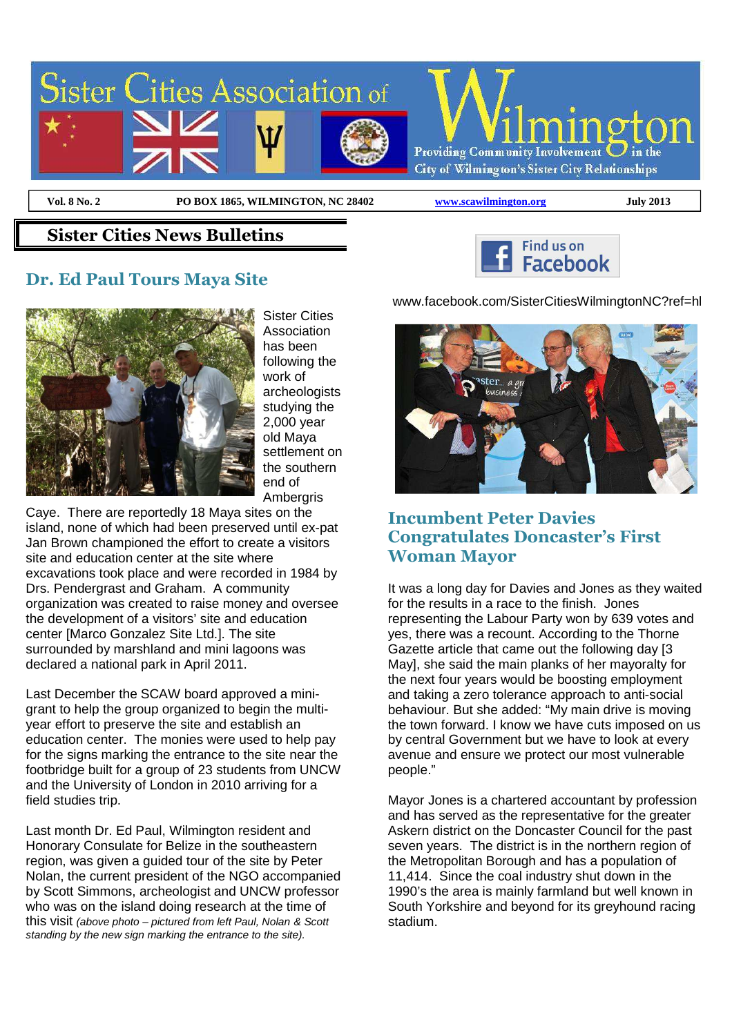

 $\overline{a}$ 

**Vol. 8 No. 2 PO BOX 1865, WILMINGTON, NC 28402 www.scawilmington.org July 2013**

#### **Sister Cities News Bulletins**

### **Dr. Ed Paul Tours Maya Site**



Sister Cities **Association** has been following the work of archeologists studying the 2,000 year old Maya settlement on the southern end of Ambergris

Caye. There are reportedly 18 Maya sites on the island, none of which had been preserved until ex-pat Jan Brown championed the effort to create a visitors site and education center at the site where excavations took place and were recorded in 1984 by Drs. Pendergrast and Graham. A community organization was created to raise money and oversee the development of a visitors' site and education center [Marco Gonzalez Site Ltd.]. The site surrounded by marshland and mini lagoons was declared a national park in April 2011.

Last December the SCAW board approved a minigrant to help the group organized to begin the multiyear effort to preserve the site and establish an education center. The monies were used to help pay for the signs marking the entrance to the site near the footbridge built for a group of 23 students from UNCW and the University of London in 2010 arriving for a field studies trip.

Last month Dr. Ed Paul, Wilmington resident and Honorary Consulate for Belize in the southeastern region, was given a guided tour of the site by Peter Nolan, the current president of the NGO accompanied by Scott Simmons, archeologist and UNCW professor who was on the island doing research at the time of this visit (above photo – pictured from left Paul, Nolan & Scott standing by the new sign marking the entrance to the site).

www.facebook.com/SisterCitiesWilmingtonNC?ref=hl

Find us on Facebook



## **Incumbent Peter Davies Congratulates Doncaster's First Woman Mayor**

It was a long day for Davies and Jones as they waited for the results in a race to the finish. Jones representing the Labour Party won by 639 votes and yes, there was a recount. According to the Thorne Gazette article that came out the following day [3 May], she said the main planks of her mayoralty for the next four years would be boosting employment and taking a zero tolerance approach to anti-social behaviour. But she added: "My main drive is moving the town forward. I know we have cuts imposed on us by central Government but we have to look at every avenue and ensure we protect our most vulnerable people."

Mayor Jones is a chartered accountant by profession and has served as the representative for the greater Askern district on the Doncaster Council for the past seven years. The district is in the northern region of the Metropolitan Borough and has a population of 11,414. Since the coal industry shut down in the 1990's the area is mainly farmland but well known in South Yorkshire and beyond for its greyhound racing stadium.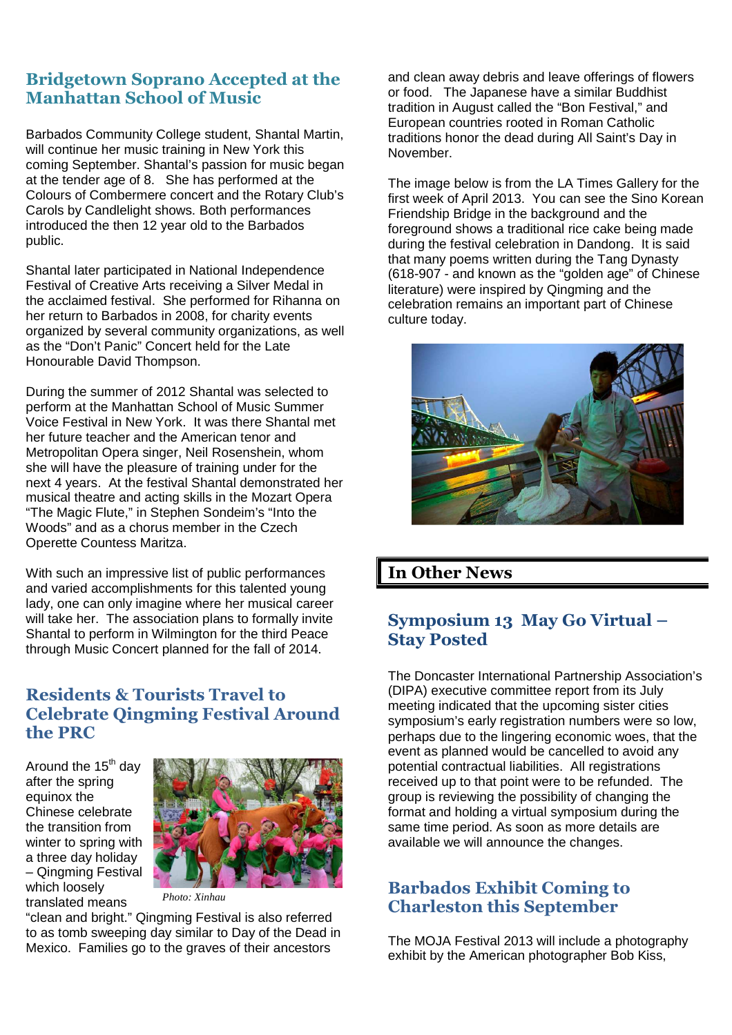## **Bridgetown Soprano Accepted at the Manhattan School of Music**

Barbados Community College student, Shantal Martin, will continue her music training in New York this coming September. Shantal's passion for music began at the tender age of 8. She has performed at the Colours of Combermere concert and the Rotary Club's Carols by Candlelight shows. Both performances introduced the then 12 year old to the Barbados public.

Shantal later participated in National Independence Festival of Creative Arts receiving a Silver Medal in the acclaimed festival. She performed for Rihanna on her return to Barbados in 2008, for charity events organized by several community organizations, as well as the "Don't Panic" Concert held for the Late Honourable David Thompson.

During the summer of 2012 Shantal was selected to perform at the Manhattan School of Music Summer Voice Festival in New York. It was there Shantal met her future teacher and the American tenor and Metropolitan Opera singer, Neil Rosenshein, whom she will have the pleasure of training under for the next 4 years. At the festival Shantal demonstrated her musical theatre and acting skills in the Mozart Opera "The Magic Flute," in Stephen Sondeim's "Into the Woods" and as a chorus member in the Czech Operette Countess Maritza.

With such an impressive list of public performances and varied accomplishments for this talented young lady, one can only imagine where her musical career will take her. The association plans to formally invite Shantal to perform in Wilmington for the third Peace through Music Concert planned for the fall of 2014.

### **Residents & Tourists Travel to Celebrate Qingming Festival Around the PRC**

Around the 15<sup>th</sup> day after the spring equinox the Chinese celebrate the transition from winter to spring with a three day holiday – Qingming Festival which loosely translated means



*Photo: Xinhau*

"clean and bright." Qingming Festival is also referred to as tomb sweeping day similar to Day of the Dead in Mexico. Families go to the graves of their ancestors

and clean away debris and leave offerings of flowers or food. The Japanese have a similar Buddhist tradition in August called the "Bon Festival," and European countries rooted in Roman Catholic traditions honor the dead during All Saint's Day in November.

The image below is from the LA Times Gallery for the first week of April 2013. You can see the Sino Korean Friendship Bridge in the background and the foreground shows a traditional rice cake being made during the festival celebration in Dandong. It is said that many poems written during the Tang Dynasty (618-907 - and known as the "golden age" of Chinese literature) were inspired by Qingming and the celebration remains an important part of Chinese culture today.



## **In Other News**

### **Symposium 13 May Go Virtual – Stay Posted**

The Doncaster International Partnership Association's (DIPA) executive committee report from its July meeting indicated that the upcoming sister cities symposium's early registration numbers were so low, perhaps due to the lingering economic woes, that the event as planned would be cancelled to avoid any potential contractual liabilities. All registrations received up to that point were to be refunded. The group is reviewing the possibility of changing the format and holding a virtual symposium during the same time period. As soon as more details are available we will announce the changes.

### **Barbados Exhibit Coming to Charleston this September**

The MOJA Festival 2013 will include a photography exhibit by the American photographer Bob Kiss,